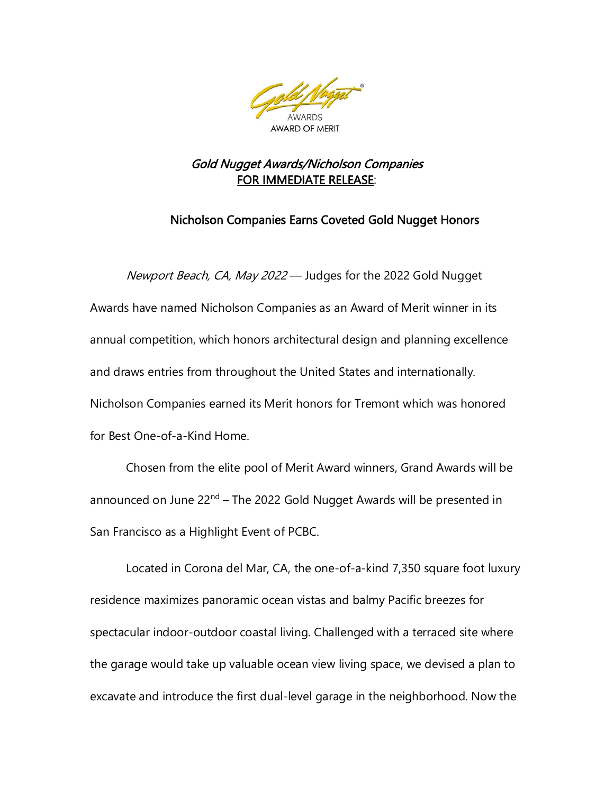

## Gold Nugget Awards/Nicholson Companies FOR IMMEDIATE RELEASE:

## Nicholson Companies Earns Coveted Gold Nugget Honors

Newport Beach, CA, May 2022 — Judges for the 2022 Gold Nugget Awards have named Nicholson Companies as an Award of Merit winner in its annual competition, which honors architectural design and planning excellence and draws entries from throughout the United States and internationally. Nicholson Companies earned its Merit honors for Tremont which was honored for Best One-of-a-Kind Home.

Chosen from the elite pool of Merit Award winners, Grand Awards will be announced on June 22<sup>nd</sup> – The 2022 Gold Nugget Awards will be presented in San Francisco as a Highlight Event of PCBC.

Located in Corona del Mar, CA, the one-of-a-kind 7,350 square foot luxury residence maximizes panoramic ocean vistas and balmy Pacific breezes for spectacular indoor-outdoor coastal living. Challenged with a terraced site where the garage would take up valuable ocean view living space, we devised a plan to excavate and introduce the first dual-level garage in the neighborhood. Now the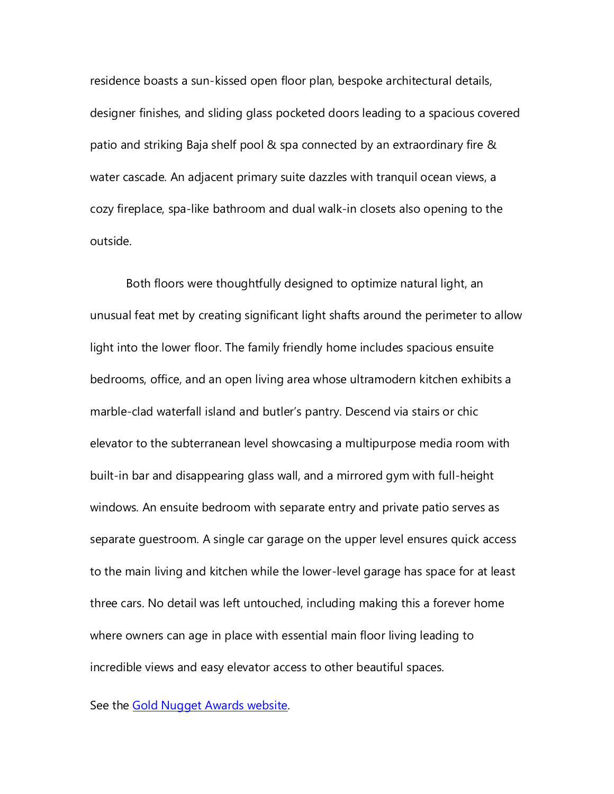residence boasts a sun-kissed open floor plan, bespoke architectural details, designer finishes, and sliding glass pocketed doors leading to a spacious covered patio and striking Baja shelf pool & spa connected by an extraordinary fire & water cascade. An adjacent primary suite dazzles with tranquil ocean views, a cozy fireplace, spa-like bathroom and dual walk-in closets also opening to the outside.

Both floors were thoughtfully designed to optimize natural light, an unusual feat met by creating significant light shafts around the perimeter to allow light into the lower floor. The family friendly home includes spacious ensuite bedrooms, office, and an open living area whose ultramodern kitchen exhibits a marble-clad waterfall island and butler's pantry. Descend via stairs or chic elevator to the subterranean level showcasing a multipurpose media room with built-in bar and disappearing glass wall, and a mirrored gym with full-height windows. An ensuite bedroom with separate entry and private patio serves as separate guestroom. A single car garage on the upper level ensures quick access to the main living and kitchen while the lower-level garage has space for at least three cars. No detail was left untouched, including making this a forever home where owners can age in place with essential main floor living leading to incredible views and easy elevator access to other beautiful spaces.

See the [Gold Nugget Awards website.](https://www.pcbc.com/PCBC2022Summer/Public/Content.aspx?ID=1601)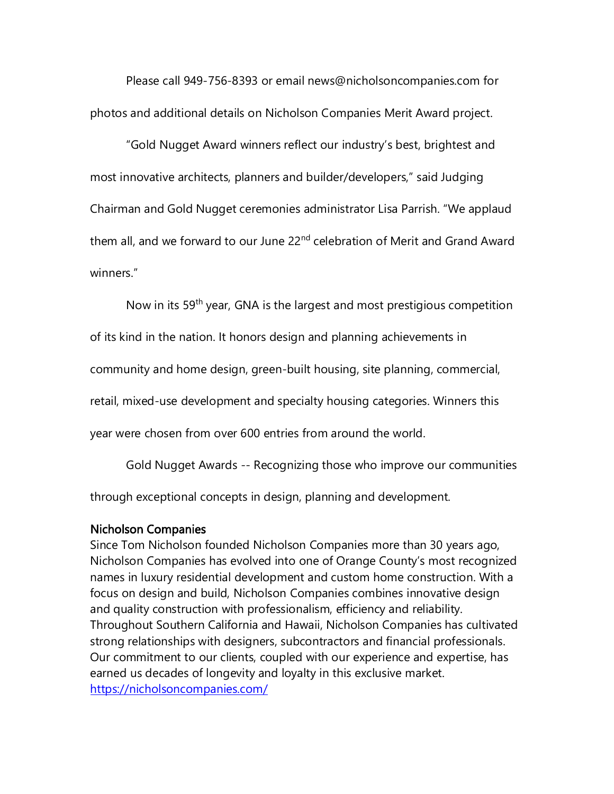Please call 949-756-8393 or email news@nicholsoncompanies.com for photos and additional details on Nicholson Companies Merit Award project.

"Gold Nugget Award winners reflect our industry's best, brightest and most innovative architects, planners and builder/developers," said Judging Chairman and Gold Nugget ceremonies administrator Lisa Parrish. "We applaud them all, and we forward to our June 22<sup>nd</sup> celebration of Merit and Grand Award winners."

Now in its 59<sup>th</sup> year, GNA is the largest and most prestigious competition

of its kind in the nation. It honors design and planning achievements in

community and home design, green-built housing, site planning, commercial,

retail, mixed-use development and specialty housing categories. Winners this

year were chosen from over 600 entries from around the world.

Gold Nugget Awards -- Recognizing those who improve our communities

through exceptional concepts in design, planning and development.

## Nicholson Companies

Since Tom Nicholson founded Nicholson Companies more than 30 years ago, Nicholson Companies has evolved into one of Orange County's most recognized names in luxury residential development and custom home construction. With a focus on design and build, Nicholson Companies combines innovative design and quality construction with professionalism, efficiency and reliability. Throughout Southern California and Hawaii, Nicholson Companies has cultivated strong relationships with designers, subcontractors and financial professionals. Our commitment to our clients, coupled with our experience and expertise, has earned us decades of longevity and loyalty in this exclusive market. <https://nicholsoncompanies.com/>